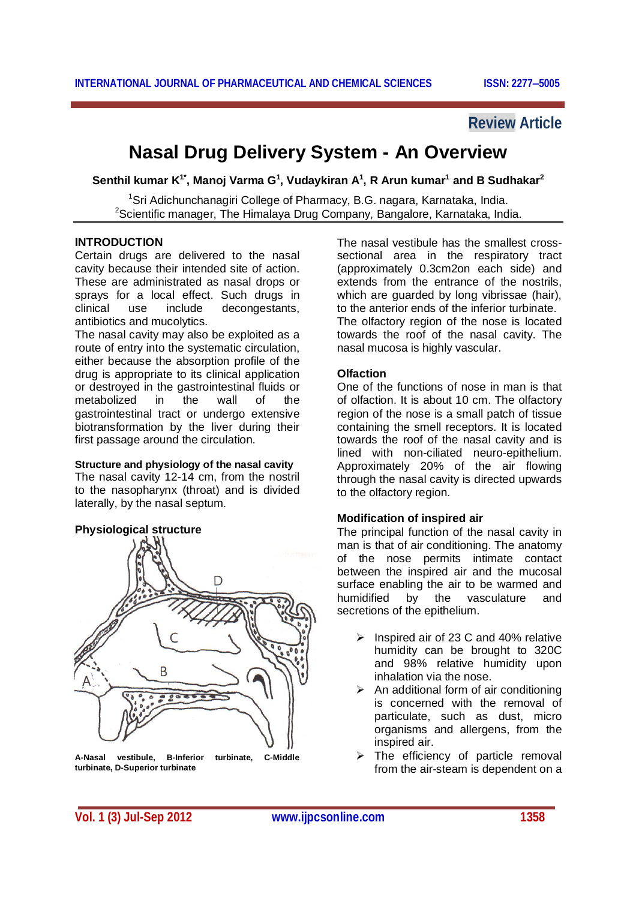# **Review Article**

# **Nasal Drug Delivery System - An Overview**

**Senthil kumar K 1\* , Manoj Varma G 1 , Vudaykiran A 1 , R Arun kumar<sup>1</sup> and B Sudhakar<sup>2</sup>**

<sup>1</sup>Sri Adichunchanagiri College of Pharmacy, B.G. nagara, Karnataka, India. <sup>2</sup>Scientific manager, The Himalaya Drug Company, Bangalore, Karnataka, India.

#### **INTRODUCTION**

Certain drugs are delivered to the nasal cavity because their intended site of action. These are administrated as nasal drops or sprays for a local effect. Such drugs in clinical use include decongestants, antibiotics and mucolytics.

The nasal cavity may also be exploited as a route of entry into the systematic circulation, either because the absorption profile of the drug is appropriate to its clinical application or destroyed in the gastrointestinal fluids or metabolized in the wall of the gastrointestinal tract or undergo extensive biotransformation by the liver during their first passage around the circulation.

#### **Structure and physiology of the nasal cavity**

The nasal cavity 12-14 cm, from the nostril to the nasopharynx (throat) and is divided laterally, by the nasal septum.

#### **Physiological structure**



**A-Nasal vestibule, B-Inferior turbinate, C-Middle turbinate, D-Superior turbinate**

The nasal vestibule has the smallest crosssectional area in the respiratory tract (approximately 0.3cm2on each side) and extends from the entrance of the nostrils, which are guarded by long vibrissae (hair), to the anterior ends of the inferior turbinate. The olfactory region of the nose is located towards the roof of the nasal cavity. The nasal mucosa is highly vascular.

#### **Olfaction**

One of the functions of nose in man is that of olfaction. It is about 10 cm. The olfactory region of the nose is a small patch of tissue containing the smell receptors. It is located towards the roof of the nasal cavity and is lined with non-ciliated neuro-epithelium. Approximately 20% of the air flowing through the nasal cavity is directed upwards to the olfactory region.

#### **Modification of inspired air**

The principal function of the nasal cavity in man is that of air conditioning. The anatomy of the nose permits intimate contact between the inspired air and the mucosal surface enabling the air to be warmed and humidified by the vasculature and secretions of the epithelium.

- $\triangleright$  Inspired air of 23 C and 40% relative humidity can be brought to 320C and 98% relative humidity upon inhalation via the nose.
- $\triangleright$  An additional form of air conditioning is concerned with the removal of particulate, such as dust, micro organisms and allergens, from the inspired air.
- $\triangleright$  The efficiency of particle removal from the air-steam is dependent on a

**Vol. 1 (3) Jul-Sep 2012 www.ijpcsonline.com 1358**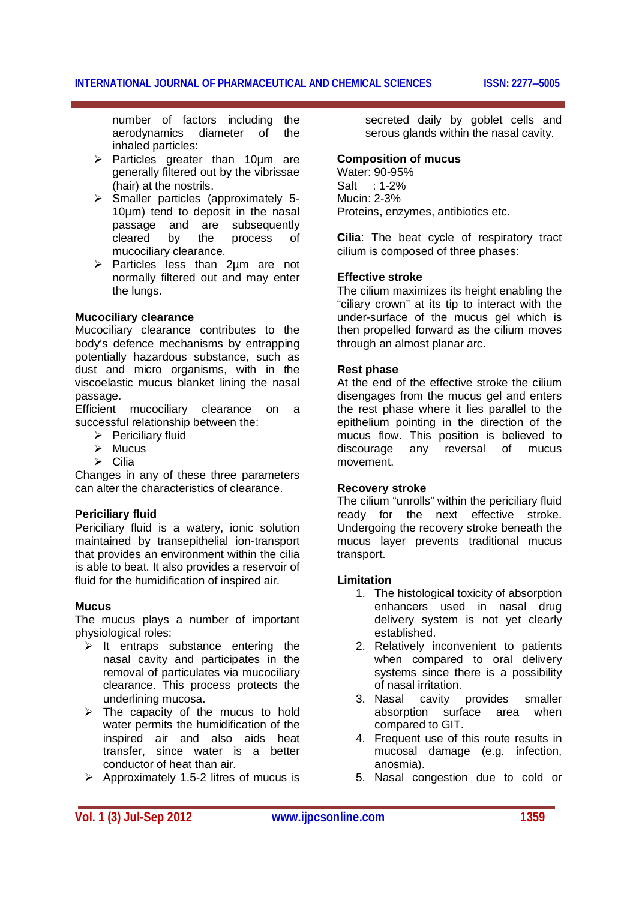number of factors including the aerodynamics diameter of the inhaled particles:

- $\triangleright$  Particles greater than 10um are generally filtered out by the vibrissae (hair) at the nostrils.
- $\triangleright$  Smaller particles (approximately 5-10µm) tend to deposit in the nasal passage and are subsequently cleared by the process of mucociliary clearance.
- $\triangleright$  Particles less than 2um are not normally filtered out and may enter the lungs.

# **Mucociliary clearance**

Mucociliary clearance contributes to the body's defence mechanisms by entrapping potentially hazardous substance, such as dust and micro organisms, with in the viscoelastic mucus blanket lining the nasal passage.

Efficient mucociliary clearance on a successful relationship between the:

- $\triangleright$  Periciliary fluid
- $\triangleright$  Mucus
- $\triangleright$  Cilia

Changes in any of these three parameters can alter the characteristics of clearance.

# **Periciliary fluid**

Periciliary fluid is a watery, ionic solution maintained by transepithelial ion-transport that provides an environment within the cilia is able to beat. It also provides a reservoir of fluid for the humidification of inspired air.

#### **Mucus**

The mucus plays a number of important physiological roles:

- $\triangleright$  It entraps substance entering the nasal cavity and participates in the removal of particulates via mucociliary clearance. This process protects the underlining mucosa.
- $\triangleright$  The capacity of the mucus to hold water permits the humidification of the inspired air and also aids heat transfer, since water is a better conductor of heat than air.
- $\geq$  Approximately 1.5-2 litres of mucus is

secreted daily by goblet cells and serous glands within the nasal cavity.

# **Composition of mucus**

Water: 90-95% Salt : 1-2% Mucin: 2-3% Proteins, enzymes, antibiotics etc.

**Cilia**: The beat cycle of respiratory tract cilium is composed of three phases:

# **Effective stroke**

The cilium maximizes its height enabling the "ciliary crown" at its tip to interact with the under-surface of the mucus gel which is then propelled forward as the cilium moves through an almost planar arc.

# **Rest phase**

At the end of the effective stroke the cilium disengages from the mucus gel and enters the rest phase where it lies parallel to the epithelium pointing in the direction of the mucus flow. This position is believed to discourage any reversal of mucus movement.

#### **Recovery stroke**

The cilium "unrolls" within the periciliary fluid ready for the next effective stroke. Undergoing the recovery stroke beneath the mucus layer prevents traditional mucus transport.

#### **Limitation**

- 1. The histological toxicity of absorption enhancers used in nasal drug delivery system is not yet clearly established.
- 2. Relatively inconvenient to patients when compared to oral delivery systems since there is a possibility of nasal irritation.
- 3. Nasal cavity provides smaller absorption surface area when compared to GIT.
- 4. Frequent use of this route results in mucosal damage (e.g. infection, anosmia).
- 5. Nasal congestion due to cold or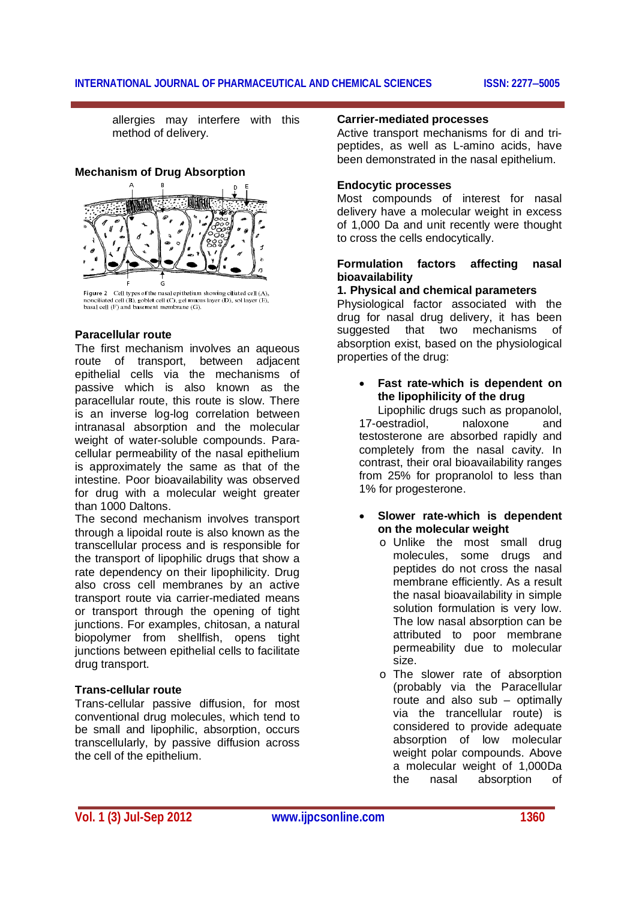allergies may interfere with this method of delivery.

**Mechanism of Drug Absorption**



**Figure 2** Cell types of the nasal epithelium showing ciliated cell (A), nonciliated cell (B), goblet cell (C), gel mucus layer (D), sol layer (E), basal cell (F) and basement membrane (G).

# **Paracellular route**

The first mechanism involves an aqueous route of transport, between adjacent epithelial cells via the mechanisms of passive which is also known as the paracellular route, this route is slow. There is an inverse log-log correlation between intranasal absorption and the molecular weight of water-soluble compounds. Paracellular permeability of the nasal epithelium is approximately the same as that of the intestine. Poor bioavailability was observed for drug with a molecular weight greater than 1000 Daltons.

The second mechanism involves transport through a lipoidal route is also known as the transcellular process and is responsible for the transport of lipophilic drugs that show a rate dependency on their lipophilicity. Drug also cross cell membranes by an active transport route via carrier-mediated means or transport through the opening of tight junctions. For examples, chitosan, a natural biopolymer from shellfish, opens tight junctions between epithelial cells to facilitate drug transport.

#### **Trans-cellular route**

Trans-cellular passive diffusion, for most conventional drug molecules, which tend to be small and lipophilic, absorption, occurs transcellularly, by passive diffusion across the cell of the epithelium.

#### **Carrier-mediated processes**

Active transport mechanisms for di and tripeptides, as well as L-amino acids, have been demonstrated in the nasal epithelium.

#### **Endocytic processes**

Most compounds of interest for nasal delivery have a molecular weight in excess of 1,000 Da and unit recently were thought to cross the cells endocytically.

#### **Formulation factors affecting nasal bioavailability**

# **1. Physical and chemical parameters**

Physiological factor associated with the drug for nasal drug delivery, it has been suggested that two mechanisms of absorption exist, based on the physiological properties of the drug:

# **Fast rate-which is dependent on the lipophilicity of the drug**

Lipophilic drugs such as propanolol, 17-oestradiol, naloxone and testosterone are absorbed rapidly and completely from the nasal cavity. In contrast, their oral bioavailability ranges from 25% for propranolol to less than 1% for progesterone.

# **Slower rate-which is dependent on the molecular weight**

- o Unlike the most small drug molecules, some drugs and peptides do not cross the nasal membrane efficiently. As a result the nasal bioavailability in simple solution formulation is very low. The low nasal absorption can be attributed to poor membrane permeability due to molecular size.
- o The slower rate of absorption (probably via the Paracellular route and also  $sub$  – optimally via the trancellular route) is considered to provide adequate absorption of low molecular weight polar compounds. Above a molecular weight of 1,000Da the nasal absorption of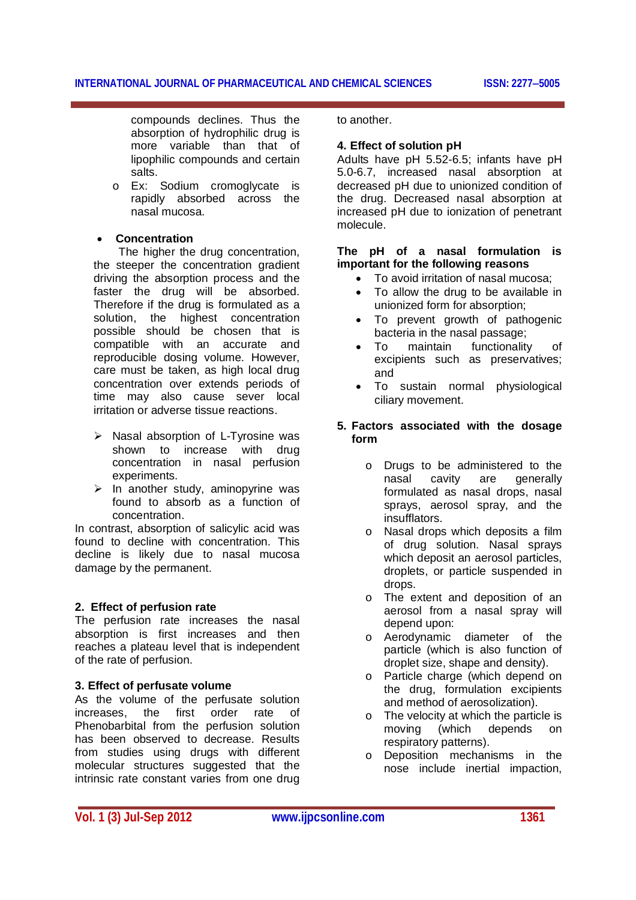compounds declines. Thus the absorption of hydrophilic drug is more variable than that of lipophilic compounds and certain salts.

o Ex: Sodium cromoglycate is rapidly absorbed across the nasal mucosa.

# **Concentration**

 The higher the drug concentration, the steeper the concentration gradient driving the absorption process and the faster the drug will be absorbed. Therefore if the drug is formulated as a solution, the highest concentration possible should be chosen that is compatible with an accurate and reproducible dosing volume. However, care must be taken, as high local drug concentration over extends periods of time may also cause sever local irritation or adverse tissue reactions.

- $\triangleright$  Nasal absorption of L-Tyrosine was shown to increase with drug concentration in nasal perfusion experiments.
- $\triangleright$  In another study, aminopyrine was found to absorb as a function of concentration.

In contrast, absorption of salicylic acid was found to decline with concentration. This decline is likely due to nasal mucosa damage by the permanent.

#### **2. Effect of perfusion rate**

The perfusion rate increases the nasal absorption is first increases and then reaches a plateau level that is independent of the rate of perfusion.

#### **3. Effect of perfusate volume**

As the volume of the perfusate solution increases, the first order rate of Phenobarbital from the perfusion solution has been observed to decrease. Results from studies using drugs with different molecular structures suggested that the intrinsic rate constant varies from one drug

to another.

#### **4. Effect of solution pH**

Adults have pH 5.52-6.5; infants have pH 5.0-6.7, increased nasal absorption at decreased pH due to unionized condition of the drug. Decreased nasal absorption at increased pH due to ionization of penetrant molecule.

#### **The pH of a nasal formulation is important for the following reasons**

- To avoid irritation of nasal mucosa;
- To allow the drug to be available in unionized form for absorption;
- To prevent growth of pathogenic bacteria in the nasal passage;
- To maintain functionality of excipients such as preservatives; and
- To sustain normal physiological ciliary movement.

#### **5. Factors associated with the dosage form**

- o Drugs to be administered to the nasal cavity are generally formulated as nasal drops, nasal sprays, aerosol spray, and the insufflators.
- o Nasal drops which deposits a film of drug solution. Nasal sprays which deposit an aerosol particles, droplets, or particle suspended in drops.
- o The extent and deposition of an aerosol from a nasal spray will depend upon:
- o Aerodynamic diameter of the particle (which is also function of droplet size, shape and density).
- o Particle charge (which depend on the drug, formulation excipients and method of aerosolization).
- o The velocity at which the particle is moving (which depends on respiratory patterns).
- o Deposition mechanisms in the nose include inertial impaction,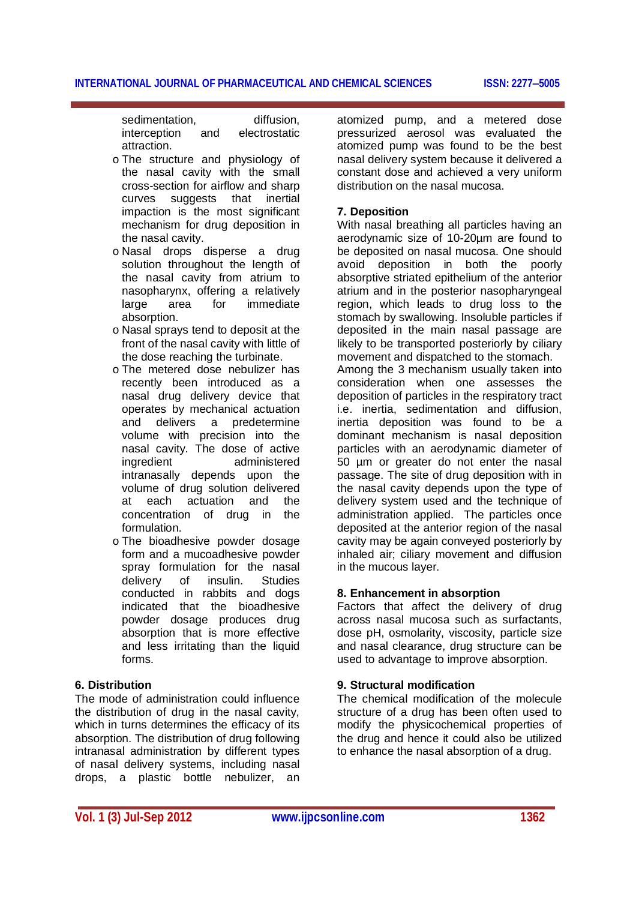sedimentation, diffusion, interception and electrostatic attraction.

- o The structure and physiology of the nasal cavity with the small cross-section for airflow and sharp curves suggests that inertial impaction is the most significant mechanism for drug deposition in the nasal cavity.
- o Nasal drops disperse a drug solution throughout the length of the nasal cavity from atrium to nasopharynx, offering a relatively<br>large area for immediate large area for immediate absorption.
- o Nasal sprays tend to deposit at the front of the nasal cavity with little of the dose reaching the turbinate.
- o The metered dose nebulizer has recently been introduced as a nasal drug delivery device that operates by mechanical actuation and delivers a predetermine volume with precision into the nasal cavity. The dose of active administered intranasally depends upon the volume of drug solution delivered at each actuation and the concentration of drug in the formulation.
- o The bioadhesive powder dosage form and a mucoadhesive powder spray formulation for the nasal delivery of insulin. Studies conducted in rabbits and dogs indicated that the bioadhesive powder dosage produces drug absorption that is more effective and less irritating than the liquid forms.

# **6. Distribution**

The mode of administration could influence the distribution of drug in the nasal cavity, which in turns determines the efficacy of its absorption. The distribution of drug following intranasal administration by different types of nasal delivery systems, including nasal drops, a plastic bottle nebulizer, an

atomized pump, and a metered dose pressurized aerosol was evaluated the atomized pump was found to be the best nasal delivery system because it delivered a constant dose and achieved a very uniform distribution on the nasal mucosa.

# **7. Deposition**

With nasal breathing all particles having an aerodynamic size of 10-20µm are found to be deposited on nasal mucosa. One should avoid deposition in both the poorly absorptive striated epithelium of the anterior atrium and in the posterior nasopharyngeal region, which leads to drug loss to the stomach by swallowing. Insoluble particles if deposited in the main nasal passage are likely to be transported posteriorly by ciliary movement and dispatched to the stomach. Among the 3 mechanism usually taken into consideration when one assesses the deposition of particles in the respiratory tract i.e. inertia, sedimentation and diffusion, inertia deposition was found to be a dominant mechanism is nasal deposition particles with an aerodynamic diameter of 50 µm or greater do not enter the nasal passage. The site of drug deposition with in the nasal cavity depends upon the type of delivery system used and the technique of administration applied. The particles once deposited at the anterior region of the nasal cavity may be again conveyed posteriorly by inhaled air; ciliary movement and diffusion in the mucous layer.

# **8. Enhancement in absorption**

Factors that affect the delivery of drug across nasal mucosa such as surfactants, dose pH, osmolarity, viscosity, particle size and nasal clearance, drug structure can be used to advantage to improve absorption.

#### **9. Structural modification**

The chemical modification of the molecule structure of a drug has been often used to modify the physicochemical properties of the drug and hence it could also be utilized to enhance the nasal absorption of a drug.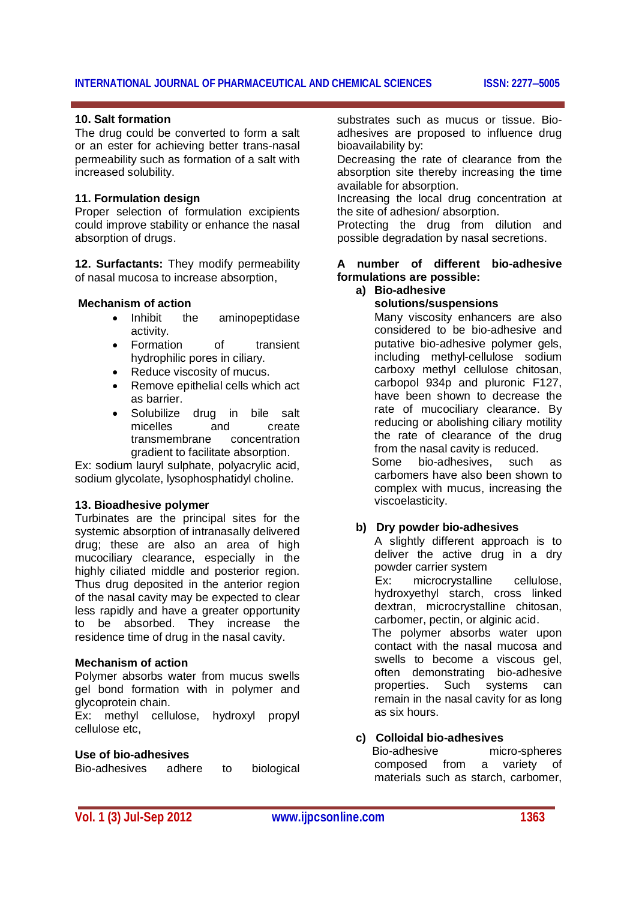#### **10. Salt formation**

The drug could be converted to form a salt or an ester for achieving better trans-nasal permeability such as formation of a salt with increased solubility.

#### **11. Formulation design**

Proper selection of formulation excipients could improve stability or enhance the nasal absorption of drugs.

**12. Surfactants:** They modify permeability of nasal mucosa to increase absorption,

#### **Mechanism of action**

- Inhibit the aminopeptidase activity.
- Formation of transient hydrophilic pores in ciliary.
- Reduce viscosity of mucus.
- Remove epithelial cells which act as barrier.
- Solubilize drug in bile salt micelles and create<br>transmembrane concentration transmembrane gradient to facilitate absorption.

Ex: sodium lauryl sulphate, polyacrylic acid, sodium glycolate, lysophosphatidyl choline.

#### **13. Bioadhesive polymer**

Turbinates are the principal sites for the systemic absorption of intranasally delivered drug; these are also an area of high mucociliary clearance, especially in the highly ciliated middle and posterior region. Thus drug deposited in the anterior region of the nasal cavity may be expected to clear less rapidly and have a greater opportunity to be absorbed. They increase the residence time of drug in the nasal cavity.

#### **Mechanism of action**

Polymer absorbs water from mucus swells gel bond formation with in polymer and glycoprotein chain.

Ex: methyl cellulose, hydroxyl propyl cellulose etc,

#### **Use of bio-adhesives**

Bio-adhesives adhere to biological

substrates such as mucus or tissue. Bioadhesives are proposed to influence drug bioavailability by:

Decreasing the rate of clearance from the absorption site thereby increasing the time available for absorption.

Increasing the local drug concentration at the site of adhesion/ absorption.

Protecting the drug from dilution and possible degradation by nasal secretions.

# **A number of different bio-adhesive formulations are possible:**

#### **a) Bio-adhesive**

**solutions/suspensions**

 Many viscosity enhancers are also considered to be bio-adhesive and putative bio-adhesive polymer gels, including methyl-cellulose sodium carboxy methyl cellulose chitosan, carbopol 934p and pluronic F127, have been shown to decrease the rate of mucociliary clearance. By reducing or abolishing ciliary motility the rate of clearance of the drug from the nasal cavity is reduced. Some bio-adhesives, such as carbomers have also been shown to complex with mucus, increasing the viscoelasticity.

#### **b) Dry powder bio-adhesives**

 A slightly different approach is to deliver the active drug in a dry powder carrier system

 Ex: microcrystalline cellulose, hydroxyethyl starch, cross linked dextran, microcrystalline chitosan, carbomer, pectin, or alginic acid.

 The polymer absorbs water upon contact with the nasal mucosa and swells to become a viscous gel, often demonstrating bio-adhesive properties. Such systems can remain in the nasal cavity for as long as six hours.

#### **c) Colloidal bio-adhesives**

 Bio-adhesive micro-spheres composed from a variety of materials such as starch, carbomer,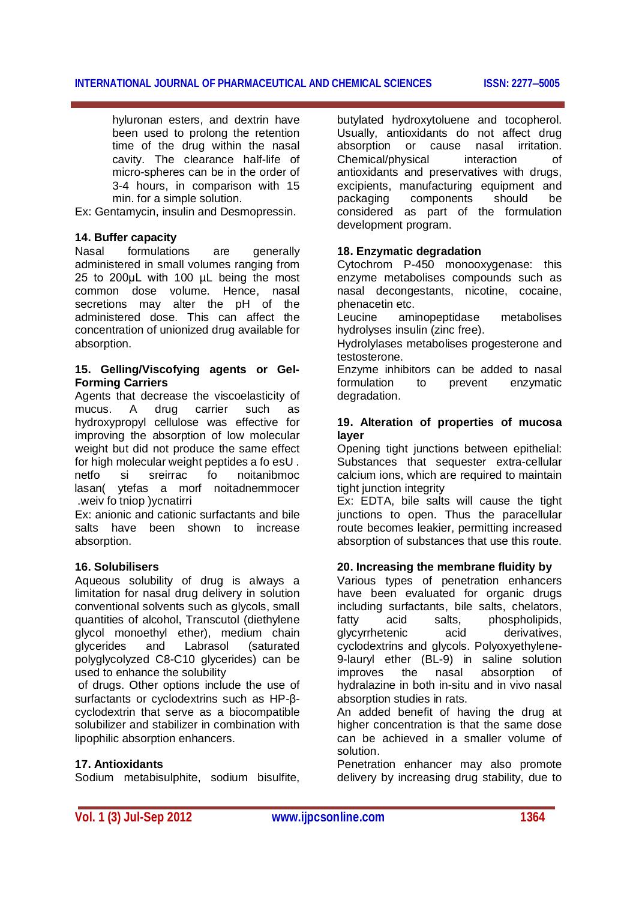hyluronan esters, and dextrin have been used to prolong the retention time of the drug within the nasal cavity. The clearance half-life of micro-spheres can be in the order of 3-4 hours, in comparison with 15 min. for a simple solution.

Ex: Gentamycin, insulin and Desmopressin.

#### **14. Buffer capacity**

Nasal formulations are generally administered in small volumes ranging from 25 to 200uL with 100 uL being the most common dose volume. Hence, nasal secretions may alter the pH of the administered dose. This can affect the concentration of unionized drug available for absorption.

# **15. Gelling/Viscofying agents or Gel-Forming Carriers**

Agents that decrease the viscoelasticity of mucus. A drug carrier such as hydroxypropyl cellulose was effective for improving the absorption of low molecular weight but did not produce the same effect for high molecular weight peptides a fo esU . netfo si sreirrac fo noitanibmoc lasan( ytefas a morf noitadnemmocer .weiv fo tniop )ycnatirri

Ex: anionic and cationic surfactants and bile salts have been shown to increase absorption.

# **16. Solubilisers**

Aqueous solubility of drug is always a limitation for nasal drug delivery in solution conventional solvents such as glycols, small quantities of alcohol, Transcutol (diethylene glycol monoethyl ether), medium chain glycerides and Labrasol (saturated polyglycolyzed C8-C10 glycerides) can be used to enhance the solubility

of drugs. Other options include the use of surfactants or cyclodextrins such as HP-βcyclodextrin that serve as a biocompatible solubilizer and stabilizer in combination with lipophilic absorption enhancers.

#### **17. Antioxidants**

Sodium metabisulphite, sodium bisulfite,

butylated hydroxytoluene and tocopherol. Usually, antioxidants do not affect drug absorption or cause nasal irritation. Chemical/physical interaction of antioxidants and preservatives with drugs, excipients, manufacturing equipment and packaging components should be considered as part of the formulation development program.

#### **18. Enzymatic degradation**

Cytochrom P-450 monooxygenase: this enzyme metabolises compounds such as nasal decongestants, nicotine, cocaine, phenacetin etc.

Leucine aminopeptidase metabolises hydrolyses insulin (zinc free).

Hydrolylases metabolises progesterone and testosterone.

Enzyme inhibitors can be added to nasal formulation to prevent enzymatic degradation.

# **19. Alteration of properties of mucosa layer**

Opening tight junctions between epithelial: Substances that sequester extra-cellular calcium ions, which are required to maintain tight junction integrity

Ex: EDTA, bile salts will cause the tight junctions to open. Thus the paracellular route becomes leakier, permitting increased absorption of substances that use this route.

# **20. Increasing the membrane fluidity by**

Various types of penetration enhancers have been evaluated for organic drugs including surfactants, bile salts, chelators, fatty acid salts, phospholipids, glycyrrhetenic acid derivatives, cyclodextrins and glycols. Polyoxyethylene-9-lauryl ether (BL-9) in saline solution improves the nasal absorption of hydralazine in both in-situ and in vivo nasal absorption studies in rats.

An added benefit of having the drug at higher concentration is that the same dose can be achieved in a smaller volume of solution.

Penetration enhancer may also promote delivery by increasing drug stability, due to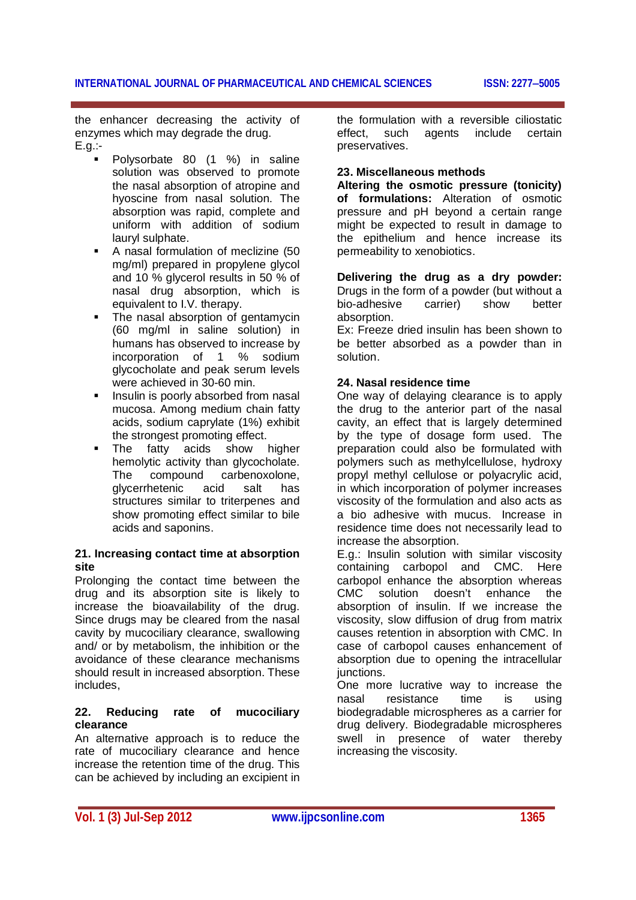the enhancer decreasing the activity of enzymes which may degrade the drug. E.g.:-

- Polysorbate 80 (1 %) in saline solution was observed to promote the nasal absorption of atropine and hyoscine from nasal solution. The absorption was rapid, complete and uniform with addition of sodium lauryl sulphate.
- A nasal formulation of meclizine (50 mg/ml) prepared in propylene glycol and 10 % glycerol results in 50 % of nasal drug absorption, which is equivalent to I.V. therapy.
- The nasal absorption of gentamycin (60 mg/ml in saline solution) in humans has observed to increase by incorporation of 1 % sodium glycocholate and peak serum levels were achieved in 30-60 min.
- Insulin is poorly absorbed from nasal mucosa. Among medium chain fatty acids, sodium caprylate (1%) exhibit the strongest promoting effect.
- The fatty acids show higher hemolytic activity than glycocholate. The compound carbenoxolone,<br>glycerrhetenic acid salt has glycerrhetenic acid salt has structures similar to triterpenes and show promoting effect similar to bile acids and saponins.

# **21. Increasing contact time at absorption site**

Prolonging the contact time between the drug and its absorption site is likely to increase the bioavailability of the drug. Since drugs may be cleared from the nasal cavity by mucociliary clearance, swallowing and/ or by metabolism, the inhibition or the avoidance of these clearance mechanisms should result in increased absorption. These includes,

#### **22. Reducing rate of mucociliary clearance**

An alternative approach is to reduce the rate of mucociliary clearance and hence increase the retention time of the drug. This can be achieved by including an excipient in the formulation with a reversible ciliostatic effect, such agents include certain preservatives.

# **23. Miscellaneous methods**

**Altering the osmotic pressure (tonicity) of formulations:** Alteration of osmotic pressure and pH beyond a certain range might be expected to result in damage to the epithelium and hence increase its permeability to xenobiotics.

**Delivering the drug as a dry powder:**  Drugs in the form of a powder (but without a<br>bio-adhesive carrier) show better bio-adhesive carrier) show better absorption.

Ex: Freeze dried insulin has been shown to be better absorbed as a powder than in solution.

# **24. Nasal residence time**

One way of delaying clearance is to apply the drug to the anterior part of the nasal cavity, an effect that is largely determined by the type of dosage form used. The preparation could also be formulated with polymers such as methylcellulose, hydroxy propyl methyl cellulose or polyacrylic acid, in which incorporation of polymer increases viscosity of the formulation and also acts as a bio adhesive with mucus. Increase in residence time does not necessarily lead to increase the absorption.

E.g.: Insulin solution with similar viscosity containing carbopol and CMC. Here carbopol enhance the absorption whereas<br>CMC solution doesn't enhance the solution doesn't enhance the absorption of insulin. If we increase the viscosity, slow diffusion of drug from matrix causes retention in absorption with CMC. In case of carbopol causes enhancement of absorption due to opening the intracellular junctions.

One more lucrative way to increase the nasal resistance time is using biodegradable microspheres as a carrier for drug delivery. Biodegradable microspheres swell in presence of water thereby increasing the viscosity.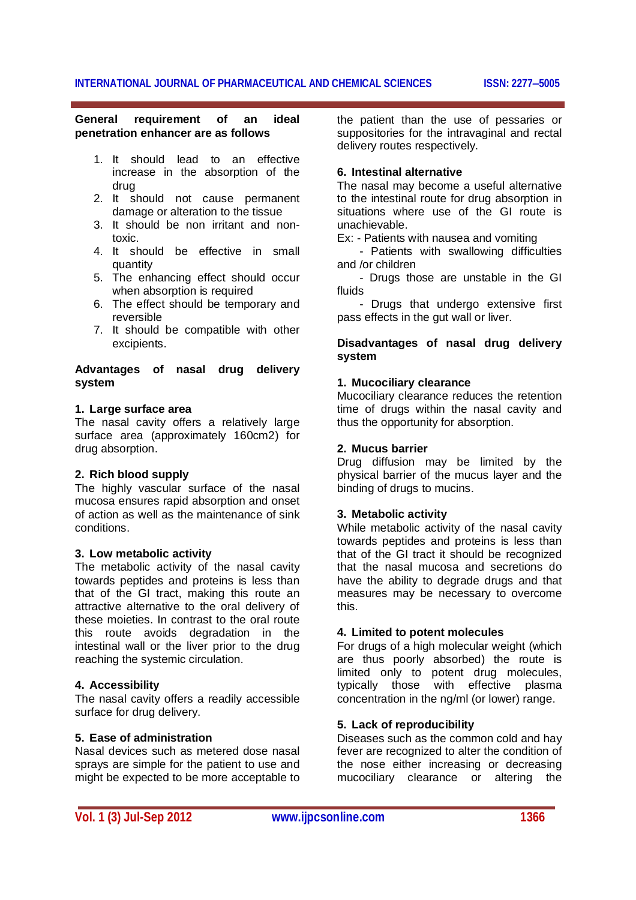#### **General requirement of an ideal penetration enhancer are as follows**

- 1. It should lead to an effective increase in the absorption of the drug
- 2. It should not cause permanent damage or alteration to the tissue
- 3. It should be non irritant and nontoxic.
- 4. It should be effective in small quantity
- 5. The enhancing effect should occur when absorption is required
- 6. The effect should be temporary and reversible
- 7. It should be compatible with other excipients.

# **Advantages of nasal drug delivery system**

#### **1. Large surface area**

The nasal cavity offers a relatively large surface area (approximately 160cm2) for drug absorption.

# **2. Rich blood supply**

The highly vascular surface of the nasal mucosa ensures rapid absorption and onset of action as well as the maintenance of sink conditions.

#### **3. Low metabolic activity**

The metabolic activity of the nasal cavity towards peptides and proteins is less than that of the GI tract, making this route an attractive alternative to the oral delivery of these moieties. In contrast to the oral route this route avoids degradation in the intestinal wall or the liver prior to the drug reaching the systemic circulation.

#### **4. Accessibility**

The nasal cavity offers a readily accessible surface for drug delivery.

#### **5. Ease of administration**

Nasal devices such as metered dose nasal sprays are simple for the patient to use and might be expected to be more acceptable to the patient than the use of pessaries or suppositories for the intravaginal and rectal delivery routes respectively.

#### **6. Intestinal alternative**

The nasal may become a useful alternative to the intestinal route for drug absorption in situations where use of the GI route is unachievable.

Ex: - Patients with nausea and vomiting

 - Patients with swallowing difficulties and /or children

 - Drugs those are unstable in the GI fluids

 - Drugs that undergo extensive first pass effects in the gut wall or liver.

# **Disadvantages of nasal drug delivery system**

#### **1. Mucociliary clearance**

Mucociliary clearance reduces the retention time of drugs within the nasal cavity and thus the opportunity for absorption.

#### **2. Mucus barrier**

Drug diffusion may be limited by the physical barrier of the mucus layer and the binding of drugs to mucins.

#### **3. Metabolic activity**

While metabolic activity of the nasal cavity towards peptides and proteins is less than that of the GI tract it should be recognized that the nasal mucosa and secretions do have the ability to degrade drugs and that measures may be necessary to overcome this.

#### **4. Limited to potent molecules**

For drugs of a high molecular weight (which are thus poorly absorbed) the route is limited only to potent drug molecules, typically those with effective plasma concentration in the ng/ml (or lower) range.

# **5. Lack of reproducibility**

Diseases such as the common cold and hay fever are recognized to alter the condition of the nose either increasing or decreasing mucociliary clearance or altering the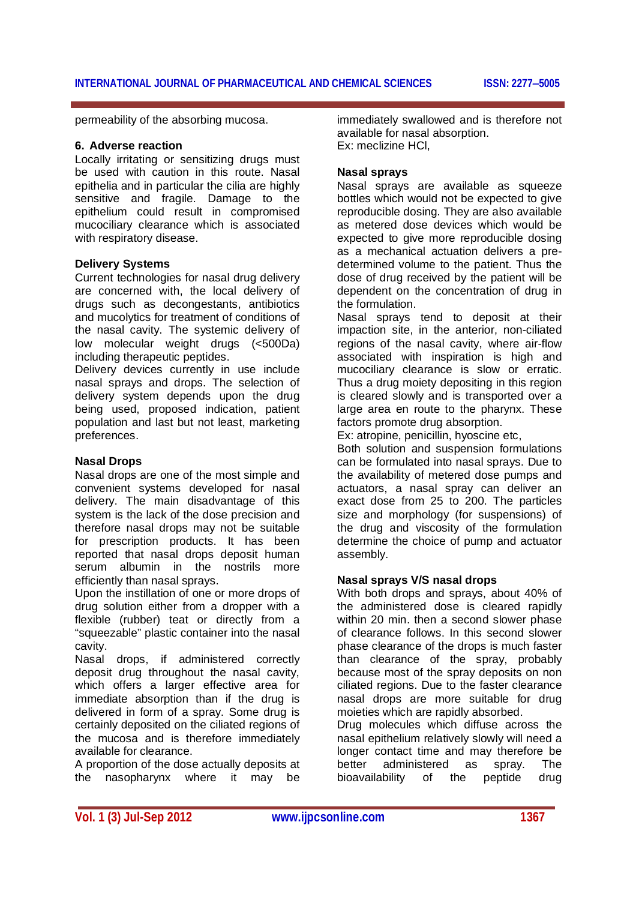permeability of the absorbing mucosa.

#### **6. Adverse reaction**

Locally irritating or sensitizing drugs must be used with caution in this route. Nasal epithelia and in particular the cilia are highly sensitive and fragile. Damage to the epithelium could result in compromised mucociliary clearance which is associated with respiratory disease.

#### **Delivery Systems**

Current technologies for nasal drug delivery are concerned with, the local delivery of drugs such as decongestants, antibiotics and mucolytics for treatment of conditions of the nasal cavity. The systemic delivery of low molecular weight drugs (<500Da) including therapeutic peptides.

Delivery devices currently in use include nasal sprays and drops. The selection of delivery system depends upon the drug being used, proposed indication, patient population and last but not least, marketing preferences.

#### **Nasal Drops**

Nasal drops are one of the most simple and convenient systems developed for nasal delivery. The main disadvantage of this system is the lack of the dose precision and therefore nasal drops may not be suitable for prescription products. It has been reported that nasal drops deposit human serum albumin in the nostrils more efficiently than nasal sprays.

Upon the instillation of one or more drops of drug solution either from a dropper with a flexible (rubber) teat or directly from a "squeezable" plastic container into the nasal cavity.

Nasal drops, if administered correctly deposit drug throughout the nasal cavity, which offers a larger effective area for immediate absorption than if the drug is delivered in form of a spray. Some drug is certainly deposited on the ciliated regions of the mucosa and is therefore immediately available for clearance.

A proportion of the dose actually deposits at the nasopharynx where it may be

immediately swallowed and is therefore not available for nasal absorption. Ex: meclizine HCl,

# **Nasal sprays**

Nasal sprays are available as squeeze bottles which would not be expected to give reproducible dosing. They are also available as metered dose devices which would be expected to give more reproducible dosing as a mechanical actuation delivers a predetermined volume to the patient. Thus the dose of drug received by the patient will be dependent on the concentration of drug in the formulation.

Nasal sprays tend to deposit at their impaction site, in the anterior, non-ciliated regions of the nasal cavity, where air-flow associated with inspiration is high and mucociliary clearance is slow or erratic. Thus a drug moiety depositing in this region is cleared slowly and is transported over a large area en route to the pharynx. These factors promote drug absorption.

Ex: atropine, penicillin, hyoscine etc,

Both solution and suspension formulations can be formulated into nasal sprays. Due to the availability of metered dose pumps and actuators, a nasal spray can deliver an exact dose from 25 to 200. The particles size and morphology (for suspensions) of the drug and viscosity of the formulation determine the choice of pump and actuator assembly.

#### **Nasal sprays V/S nasal drops**

With both drops and sprays, about 40% of the administered dose is cleared rapidly within 20 min. then a second slower phase of clearance follows. In this second slower phase clearance of the drops is much faster than clearance of the spray, probably because most of the spray deposits on non ciliated regions. Due to the faster clearance nasal drops are more suitable for drug moieties which are rapidly absorbed.

Drug molecules which diffuse across the nasal epithelium relatively slowly will need a longer contact time and may therefore be better administered as spray. The bioavailability of the peptide drug